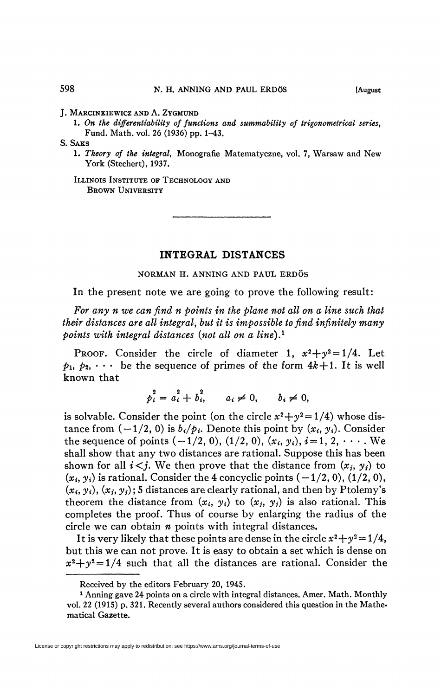J. MARCINKIEWICZ AND A. ZYGMUND

1. *On the differentiability of functions and summability of trigonometrical series,*  Fund. Math. vol. 26 (1936) pp. 1-43.

S. SAKS

1. *Theory of the integral.* Monografie Maternatyczne, vol. 7, Warsaw and New York (Stechert), 1937.

ILLINOIS INSTITUTE OF TECHNOLOGY AND BROWN UNIVERSITY

## **INTEGRAL DISTANCES**

## NORMAN H. ANNING AND PAUL ERDÖS

In the present note we are going to prove the following result:

*For any n we can find n points in the plane not all on a line such that their distances are all integral*, *but it is impossible to find infinitely many points with integral distances (not all on a line).<sup>1</sup>*

PROOF. Consider the circle of diameter 1,  $x^2+y^2=1/4$ . Let  $p_1, p_2, \cdots$  be the sequence of primes of the form  $4k + 1$ . It is well known that

 $p_i^2 = a_i^2 + b_i^2, \quad a_i \neq 0, \quad b_i \neq 0,$ 

is solvable. Consider the point (on the circle  $x^2 + y^2 = 1/4$ ) whose distance from  $(-1/2, 0)$  is  $b_i/p_i$ . Denote this point by  $(x_i, y_i)$ . Consider the sequence of points  $(-1/2, 0)$ ,  $(1/2, 0)$ ,  $(x_i, y_i)$ ,  $i=1, 2, \cdots$ . We shall show that any two distances are rational. Suppose this has been shown for all  $i < j$ . We then prove that the distance from  $(x_i, y_j)$  to  $(x_i, y_i)$  is rational. Consider the 4 concyclic points  $(-1/2, 0)$ ,  $(1/2, 0)$ ,  $(x_i, y_i)$ ,  $(x_j, y_j)$ ; 5 distances are clearly rational, and then by Ptolemy's theorem the distance from  $(x_i, y_i)$  to  $(x_j, y_j)$  is also rational. This completes the proof. Thus of course by enlarging the radius of the circle we can obtain *n* points with integral distances.

It is very likely that these points are dense in the circle  $x^2 + y^2 = 1/4$ , but this we can not prove. It is easy to obtain a set which is dense on  $x^2 + y^2 = 1/4$  such that all the distances are rational. Consider the

License or copyright restrictions may apply to redistribution; see https://www.ams.org/journal-terms-of-use

Received by the editors February 20, 1945.

<sup>&</sup>lt;sup>1</sup> Anning gave 24 points on a circle with integral distances. Amer. Math. Monthly vol. 22 (1915) p. 321. Recently several authors considered this question in the Mathematical Gazette.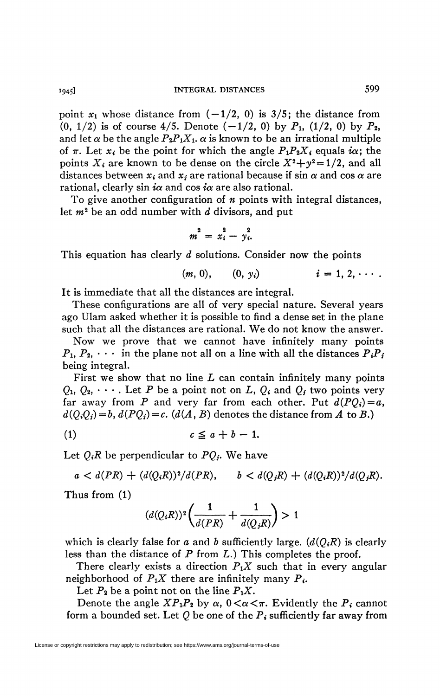point  $x_1$  whose distance from  $(-1/2, 0)$  is  $3/5$ ; the distance from  $(0, 1/2)$  is of course 4/5. Denote  $(-1/2, 0)$  by  $P_1$ ,  $(1/2, 0)$  by  $P_2$ , and let  $\alpha$  be the angle  $P_2P_1X_1$ ,  $\alpha$  is known to be an irrational multiple of  $\pi$ . Let  $x_i$  be the point for which the angle  $P_1P_2X_i$  equals  $i\alpha$ ; the points  $X_i$  are known to be dense on the circle  $X^2 + y^2 = 1/2$ , and all distances between  $x_i$  and  $x_j$  are rational because if sin  $\alpha$  and cos  $\alpha$  are rational, clearly sin  $i\alpha$  and  $\cos i\alpha$  are also rational.

To give another configuration of *n* points with integral distances, let *m 2* be an odd number with *d* divisors, and put

$$
m^2 = x_i^2 - y_i^2.
$$

This equation has clearly *d* solutions. Consider now the points

$$
(m, 0), \quad (0, y_i) \quad i = 1, 2, \cdots.
$$

It is immediate that all the distances are integral.

These configurations are all of very special nature. Several years ago Ulam asked whether it is possible to find a dense set in the plane such that all the distances are rational. We do not know the answer.

Now we prove that we cannot have infinitely many points  $P_1, P_2, \cdots$  in the plane not all on a line with all the distances  $P_i P_j$ being integral.

First we show that no line *L* can contain infinitely many points  $Q_1, Q_2, \cdots$ . Let *P* be a point not on *L*,  $Q_i$  and  $Q_j$  two points very far away from *P* and very far from each other. Put  $d(PQ_i)=a$ ,  $d(O_iO_i) = b, d(PO_i) = c.$  ( $d(A, B)$ ) denotes the distance from *A* to *B*.)

$$
(1) \t c \leq a+b-1.
$$

Let  $Q_iR$  be perpendicular to  $PQ_i$ . We have

$$
a < d(PR) + (d(Q_iR))^2/d(PR), \qquad b < d(Q_jR) + (d(Q_iR))^2/d(Q_jR).
$$

Thus from (1)

$$
(d(Q_iR))^2\left(\frac{1}{d(PR)}+\frac{1}{d(Q_jR)}\right)>1
$$

which is clearly false for  $a$  and  $b$  sufficiently large.  $(d(Q_iR))$  is clearly less than the distance of P from L.) This completes the proof.

There clearly exists a direction  $P_1X$  such that in every angular neighborhood of  $P_1X$  there are infinitely many  $P_i$ .

Let  $P_2$  be a point not on the line  $P_1X$ .

Denote the angle  $XP_1P_2$  by  $\alpha$ ,  $0 < \alpha < \pi$ . Evidently the  $P_i$  cannot form a bounded set. Let  $Q$  be one of the  $P_i$  sufficiently far away from